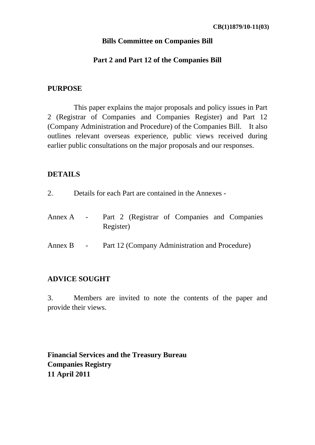### **Bills Committee on Companies Bill**

#### **Part 2 and Part 12 of the Companies Bill**

#### **PURPOSE**

 This paper explains the major proposals and policy issues in Part 2 (Registrar of Companies and Companies Register) and Part 12 (Company Administration and Procedure) of the Companies Bill. It also outlines relevant overseas experience, public views received during earlier public consultations on the major proposals and our responses.

#### **DETAILS**

| 2.          | Details for each Part are contained in the Annexes - |  |           |  |  |  |                                                |  |  |
|-------------|------------------------------------------------------|--|-----------|--|--|--|------------------------------------------------|--|--|
| Annex $A -$ |                                                      |  | Register) |  |  |  | Part 2 (Registrar of Companies and Companies   |  |  |
| Annex $B -$ |                                                      |  |           |  |  |  | Part 12 (Company Administration and Procedure) |  |  |

#### **ADVICE SOUGHT**

3. Members are invited to note the contents of the paper and provide their views.

**Financial Services and the Treasury Bureau Companies Registry 11 April 2011**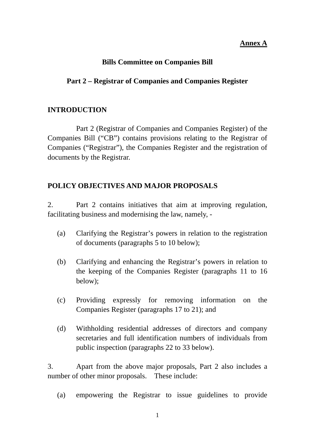#### **Annex A**

#### **Bills Committee on Companies Bill**

### **Part 2 – Registrar of Companies and Companies Register**

#### **INTRODUCTION**

 Part 2 (Registrar of Companies and Companies Register) of the Companies Bill ("CB") contains provisions relating to the Registrar of Companies ("Registrar"), the Companies Register and the registration of documents by the Registrar.

### **POLICY OBJECTIVES AND MAJOR PROPOSALS**

2. Part 2 contains initiatives that aim at improving regulation, facilitating business and modernising the law, namely, -

- (a) Clarifying the Registrar's powers in relation to the registration of documents (paragraphs 5 to 10 below);
- (b) Clarifying and enhancing the Registrar's powers in relation to the keeping of the Companies Register (paragraphs 11 to 16 below);
- (c) Providing expressly for removing information on the Companies Register (paragraphs 17 to 21); and
- (d) Withholding residential addresses of directors and company secretaries and full identification numbers of individuals from public inspection (paragraphs 22 to 33 below).

3. Apart from the above major proposals, Part 2 also includes a number of other minor proposals. These include:

(a) empowering the Registrar to issue guidelines to provide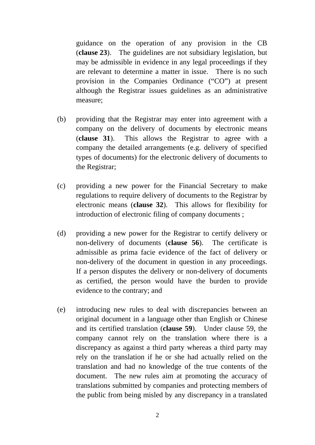guidance on the operation of any provision in the CB (**clause 23**). The guidelines are not subsidiary legislation, but may be admissible in evidence in any legal proceedings if they are relevant to determine a matter in issue. There is no such provision in the Companies Ordinance ("CO") at present although the Registrar issues guidelines as an administrative measure;

- (b) providing that the Registrar may enter into agreement with a company on the delivery of documents by electronic means (**clause 31**). This allows the Registrar to agree with a company the detailed arrangements (e.g. delivery of specified types of documents) for the electronic delivery of documents to the Registrar;
- (c) providing a new power for the Financial Secretary to make regulations to require delivery of documents to the Registrar by electronic means (**clause 32**). This allows for flexibility for introduction of electronic filing of company documents ;
- (d) providing a new power for the Registrar to certify delivery or non-delivery of documents (**clause 56**). The certificate is admissible as prima facie evidence of the fact of delivery or non-delivery of the document in question in any proceedings. If a person disputes the delivery or non-delivery of documents as certified, the person would have the burden to provide evidence to the contrary; and
- (e) introducing new rules to deal with discrepancies between an original document in a language other than English or Chinese and its certified translation (**clause 59**). Under clause 59, the company cannot rely on the translation where there is a discrepancy as against a third party whereas a third party may rely on the translation if he or she had actually relied on the translation and had no knowledge of the true contents of the document. The new rules aim at promoting the accuracy of translations submitted by companies and protecting members of the public from being misled by any discrepancy in a translated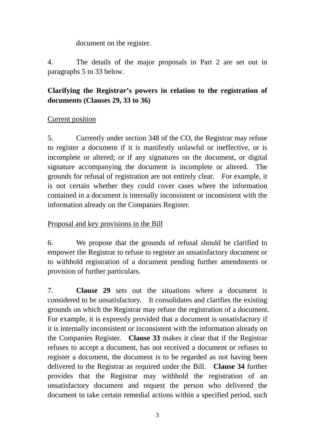document on the register.

4. The details of the major proposals in Part 2 are set out in paragraphs 5 to 33 below.

# **Clarifying the Registrar's powers in relation to the registration of documents (Clauses 29, 33 to 36)**

## Current position

5. Currently under section 348 of the CO, the Registrar may refuse to register a document if it is manifestly unlawful or ineffective, or is incomplete or altered; or if any signatures on the document, or digital signature accompanying the document is incomplete or altered. The grounds for refusal of registration are not entirely clear. For example, it is not certain whether they could cover cases where the information contained in a document is internally inconsistent or inconsistent with the information already on the Companies Register.

## Proposal and key provisions in the Bill

6. We propose that the grounds of refusal should be clarified to empower the Registrar to refuse to register an unsatisfactory document or to withhold registration of a document pending further amendments or provision of further particulars.

7. **Clause 29** sets out the situations where a document is considered to be unsatisfactory. It consolidates and clarifies the existing grounds on which the Registrar may refuse the registration of a document. For example, it is expressly provided that a document is unsatisfactory if it is internally inconsistent or inconsistent with the information already on the Companies Register. **Clause 33** makes it clear that if the Registrar refuses to accept a document, has not received a document or refuses to register a document, the document is to be regarded as not having been delivered to the Registrar as required under the Bill. **Clause 34** further provides that the Registrar may withhold the registration of an unsatisfactory document and request the person who delivered the document to take certain remedial actions within a specified period, such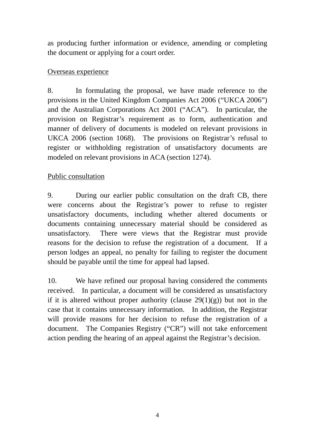as producing further information or evidence, amending or completing the document or applying for a court order.

### Overseas experience

8. In formulating the proposal, we have made reference to the provisions in the United Kingdom Companies Act 2006 ("UKCA 2006") and the Australian Corporations Act 2001 ("ACA"). In particular, the provision on Registrar's requirement as to form, authentication and manner of delivery of documents is modeled on relevant provisions in UKCA 2006 (section 1068). The provisions on Registrar's refusal to register or withholding registration of unsatisfactory documents are modeled on relevant provisions in ACA (section 1274).

## Public consultation

9. During our earlier public consultation on the draft CB, there were concerns about the Registrar's power to refuse to register unsatisfactory documents, including whether altered documents or documents containing unnecessary material should be considered as unsatisfactory. There were views that the Registrar must provide reasons for the decision to refuse the registration of a document. If a person lodges an appeal, no penalty for failing to register the document should be payable until the time for appeal had lapsed.

10. We have refined our proposal having considered the comments received. In particular, a document will be considered as unsatisfactory if it is altered without proper authority (clause  $29(1)(g)$ ) but not in the case that it contains unnecessary information. In addition, the Registrar will provide reasons for her decision to refuse the registration of a document. The Companies Registry ("CR") will not take enforcement action pending the hearing of an appeal against the Registrar's decision.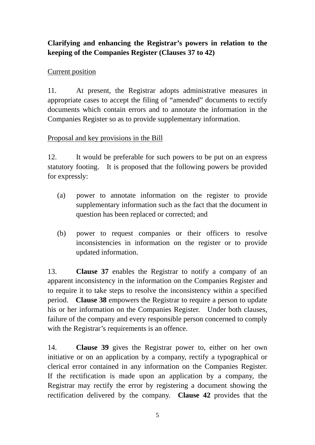# **Clarifying and enhancing the Registrar's powers in relation to the keeping of the Companies Register (Clauses 37 to 42)**

## Current position

11. At present, the Registrar adopts administrative measures in appropriate cases to accept the filing of "amended" documents to rectify documents which contain errors and to annotate the information in the Companies Register so as to provide supplementary information.

## Proposal and key provisions in the Bill

12. It would be preferable for such powers to be put on an express statutory footing. It is proposed that the following powers be provided for expressly:

- (a) power to annotate information on the register to provide supplementary information such as the fact that the document in question has been replaced or corrected; and
- (b) power to request companies or their officers to resolve inconsistencies in information on the register or to provide updated information.

13. **Clause 37** enables the Registrar to notify a company of an apparent inconsistency in the information on the Companies Register and to require it to take steps to resolve the inconsistency within a specified period. **Clause 38** empowers the Registrar to require a person to update his or her information on the Companies Register. Under both clauses, failure of the company and every responsible person concerned to comply with the Registrar's requirements is an offence.

14. **Clause 39** gives the Registrar power to, either on her own initiative or on an application by a company, rectify a typographical or clerical error contained in any information on the Companies Register. If the rectification is made upon an application by a company, the Registrar may rectify the error by registering a document showing the rectification delivered by the company. **Clause 42** provides that the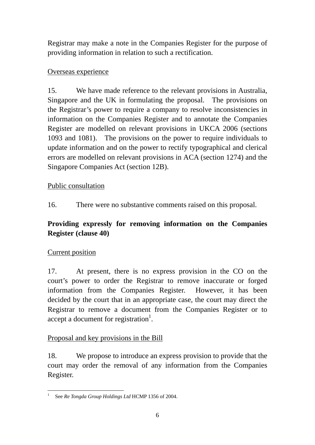Registrar may make a note in the Companies Register for the purpose of providing information in relation to such a rectification.

## Overseas experience

15. We have made reference to the relevant provisions in Australia, Singapore and the UK in formulating the proposal. The provisions on the Registrar's power to require a company to resolve inconsistencies in information on the Companies Register and to annotate the Companies Register are modelled on relevant provisions in UKCA 2006 (sections 1093 and 1081). The provisions on the power to require individuals to update information and on the power to rectify typographical and clerical errors are modelled on relevant provisions in ACA (section 1274) and the Singapore Companies Act (section 12B).

## Public consultation

16. There were no substantive comments raised on this proposal.

# **Providing expressly for removing information on the Companies Register (clause 40)**

## Current position

17. At present, there is no express provision in the CO on the court's power to order the Registrar to remove inaccurate or forged information from the Companies Register. However, it has been decided by the court that in an appropriate case, the court may direct the Registrar to remove a document from the Companies Register or to accept a document for registration<sup>1</sup>.

# Proposal and key provisions in the Bill

18. We propose to introduce an express provision to provide that the court may order the removal of any information from the Companies Register.

<sup>&</sup>lt;u>.</u> 1 See *Re Tongda Group Holdings Ltd* HCMP 1356 of 2004.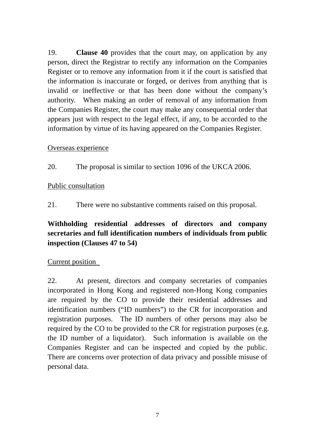19. **Clause 40** provides that the court may, on application by any person, direct the Registrar to rectify any information on the Companies Register or to remove any information from it if the court is satisfied that the information is inaccurate or forged, or derives from anything that is invalid or ineffective or that has been done without the company's authority. When making an order of removal of any information from the Companies Register, the court may make any consequential order that appears just with respect to the legal effect, if any, to be accorded to the information by virtue of its having appeared on the Companies Register.

#### Overseas experience

20. The proposal is similar to section 1096 of the UKCA 2006.

### Public consultation

21. There were no substantive comments raised on this proposal.

# **Withholding residential addresses of directors and company secretaries and full identification numbers of individuals from public inspection (Clauses 47 to 54)**

### Current position

22. At present, directors and company secretaries of companies incorporated in Hong Kong and registered non-Hong Kong companies are required by the CO to provide their residential addresses and identification numbers ("ID numbers") to the CR for incorporation and registration purposes. The ID numbers of other persons may also be required by the CO to be provided to the CR for registration purposes (e.g. the ID number of a liquidator). Such information is available on the Companies Register and can be inspected and copied by the public. There are concerns over protection of data privacy and possible misuse of personal data.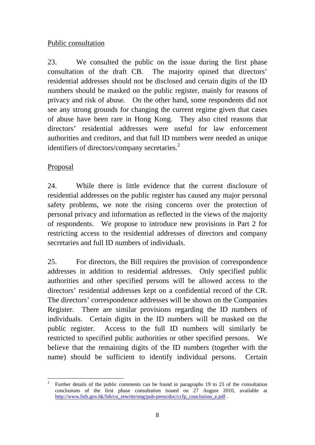## Public consultation

23. We consulted the public on the issue during the first phase consultation of the draft CB. The majority opined that directors' residential addresses should not be disclosed and certain digits of the ID numbers should be masked on the public register, mainly for reasons of privacy and risk of abuse. On the other hand, some respondents did not see any strong grounds for changing the current regime given that cases of abuse have been rare in Hong Kong. They also cited reasons that directors' residential addresses were useful for law enforcement authorities and creditors, and that full ID numbers were needed as unique identifiers of directors/company secretaries.<sup>2</sup>

## Proposal

24. While there is little evidence that the current disclosure of residential addresses on the public register has caused any major personal safety problems, we note the rising concerns over the protection of personal privacy and information as reflected in the views of the majority of respondents. We propose to introduce new provisions in Part 2 for restricting access to the residential addresses of directors and company secretaries and full ID numbers of individuals.

25. For directors, the Bill requires the provision of correspondence addresses in addition to residential addresses. Only specified public authorities and other specified persons will be allowed access to the directors' residential addresses kept on a confidential record of the CR. The directors' correspondence addresses will be shown on the Companies Register. There are similar provisions regarding the ID numbers of individuals. Certain digits in the ID numbers will be masked on the public register. Access to the full ID numbers will similarly be restricted to specified public authorities or other specified persons. We believe that the remaining digits of the ID numbers (together with the name) should be sufficient to identify individual persons. Certain

<sup>1</sup> 2 Further details of the public comments can be found in paragraphs 19 to 23 of the consultation conclusions of the first phase consultation issued on 27 August 2010, available at http://www.fstb.gov.hk/fsb/co\_rewrite/eng/pub-press/doc/ccfp\_conclusion\_e.pdf .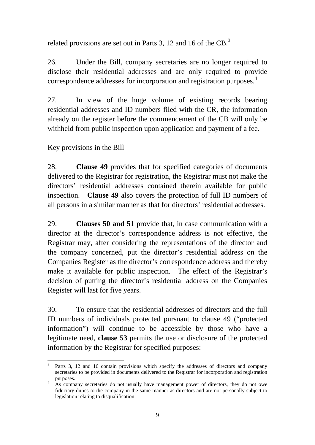related provisions are set out in Parts 3, 12 and 16 of the CB.<sup>3</sup>

26. Under the Bill, company secretaries are no longer required to disclose their residential addresses and are only required to provide correspondence addresses for incorporation and registration purposes.<sup>4</sup>

27. In view of the huge volume of existing records bearing residential addresses and ID numbers filed with the CR, the information already on the register before the commencement of the CB will only be withheld from public inspection upon application and payment of a fee.

### Key provisions in the Bill

28. **Clause 49** provides that for specified categories of documents delivered to the Registrar for registration, the Registrar must not make the directors' residential addresses contained therein available for public inspection. **Clause 49** also covers the protection of full ID numbers of all persons in a similar manner as that for directors' residential addresses.

29. **Clauses 50 and 51** provide that, in case communication with a director at the director's correspondence address is not effective, the Registrar may, after considering the representations of the director and the company concerned, put the director's residential address on the Companies Register as the director's correspondence address and thereby make it available for public inspection. The effect of the Registrar's decision of putting the director's residential address on the Companies Register will last for five years.

30. To ensure that the residential addresses of directors and the full ID numbers of individuals protected pursuant to clause 49 ("protected information") will continue to be accessible by those who have a legitimate need, **clause 53** permits the use or disclosure of the protected information by the Registrar for specified purposes:

<sup>1</sup> 3 Parts 3, 12 and 16 contain provisions which specify the addresses of directors and company secretaries to be provided in documents delivered to the Registrar for incorporation and registration purposes.<br><sup>4</sup> As company secretaries do not usually have management power of directors, they do not owe

fiduciary duties to the company in the same manner as directors and are not personally subject to legislation relating to disqualification.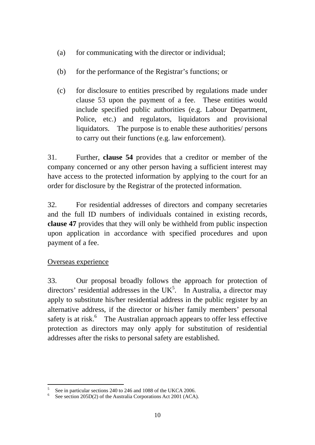- (a) for communicating with the director or individual;
- (b) for the performance of the Registrar's functions; or
- (c) for disclosure to entities prescribed by regulations made under clause 53 upon the payment of a fee. These entities would include specified public authorities (e.g. Labour Department, Police, etc.) and regulators, liquidators and provisional liquidators. The purpose is to enable these authorities/ persons to carry out their functions (e.g. law enforcement).

31. Further, **clause 54** provides that a creditor or member of the company concerned or any other person having a sufficient interest may have access to the protected information by applying to the court for an order for disclosure by the Registrar of the protected information.

32. For residential addresses of directors and company secretaries and the full ID numbers of individuals contained in existing records, **clause 47** provides that they will only be withheld from public inspection upon application in accordance with specified procedures and upon payment of a fee.

## Overseas experience

33. Our proposal broadly follows the approach for protection of directors' residential addresses in the  $UK<sup>5</sup>$ . In Australia, a director may apply to substitute his/her residential address in the public register by an alternative address, if the director or his/her family members' personal safety is at risk. $\delta$  The Australian approach appears to offer less effective protection as directors may only apply for substitution of residential addresses after the risks to personal safety are established.

<sup>1</sup> 5 See in particular sections 240 to 246 and 1088 of the UKCA 2006.

<sup>6</sup> See section 205D(2) of the Australia Corporations Act 2001 (ACA).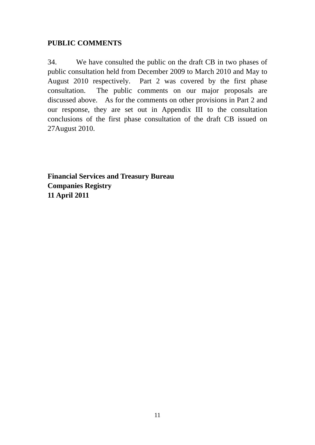## **PUBLIC COMMENTS**

34. We have consulted the public on the draft CB in two phases of public consultation held from December 2009 to March 2010 and May to August 2010 respectively. Part 2 was covered by the first phase consultation. The public comments on our major proposals are discussed above. As for the comments on other provisions in Part 2 and our response, they are set out in Appendix III to the consultation conclusions of the first phase consultation of the draft CB issued on 27August 2010.

**Financial Services and Treasury Bureau Companies Registry 11 April 2011**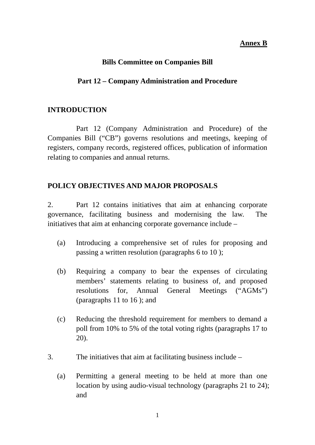#### **Annex B**

### **Bills Committee on Companies Bill**

### **Part 12 – Company Administration and Procedure**

### **INTRODUCTION**

 Part 12 (Company Administration and Procedure) of the Companies Bill ("CB") governs resolutions and meetings, keeping of registers, company records, registered offices, publication of information relating to companies and annual returns.

## **POLICY OBJECTIVES AND MAJOR PROPOSALS**

2. Part 12 contains initiatives that aim at enhancing corporate governance, facilitating business and modernising the law. The initiatives that aim at enhancing corporate governance include –

- (a) Introducing a comprehensive set of rules for proposing and passing a written resolution (paragraphs 6 to 10 );
- (b) Requiring a company to bear the expenses of circulating members' statements relating to business of, and proposed resolutions for, Annual General Meetings ("AGMs") (paragraphs 11 to 16 ); and
- (c) Reducing the threshold requirement for members to demand a poll from 10% to 5% of the total voting rights (paragraphs 17 to 20).
- 3. The initiatives that aim at facilitating business include
	- (a) Permitting a general meeting to be held at more than one location by using audio-visual technology (paragraphs 21 to 24); and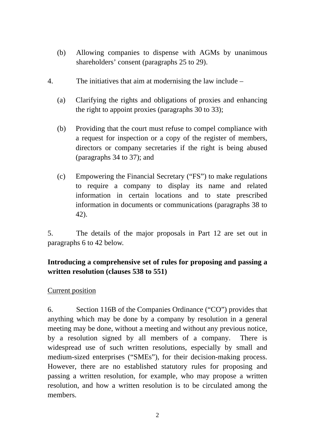- (b) Allowing companies to dispense with AGMs by unanimous shareholders' consent (paragraphs 25 to 29).
- 4. The initiatives that aim at modernising the law include
	- (a) Clarifying the rights and obligations of proxies and enhancing the right to appoint proxies (paragraphs 30 to 33);
	- (b) Providing that the court must refuse to compel compliance with a request for inspection or a copy of the register of members, directors or company secretaries if the right is being abused (paragraphs 34 to 37); and
	- (c) Empowering the Financial Secretary ("FS") to make regulations to require a company to display its name and related information in certain locations and to state prescribed information in documents or communications (paragraphs 38 to 42).

5. The details of the major proposals in Part 12 are set out in paragraphs 6 to 42 below.

# **Introducing a comprehensive set of rules for proposing and passing a written resolution (clauses 538 to 551)**

### Current position

6. Section 116B of the Companies Ordinance ("CO") provides that anything which may be done by a company by resolution in a general meeting may be done, without a meeting and without any previous notice, by a resolution signed by all members of a company. There is widespread use of such written resolutions, especially by small and medium-sized enterprises ("SMEs"), for their decision-making process. However, there are no established statutory rules for proposing and passing a written resolution, for example, who may propose a written resolution, and how a written resolution is to be circulated among the members.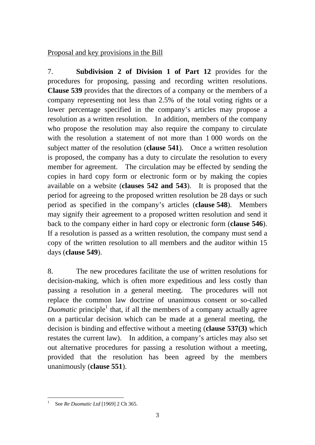## Proposal and key provisions in the Bill

7. **Subdivision 2 of Division 1 of Part 12** provides for the procedures for proposing, passing and recording written resolutions. **Clause 539** provides that the directors of a company or the members of a company representing not less than 2.5% of the total voting rights or a lower percentage specified in the company's articles may propose a resolution as a written resolution. In addition, members of the company who propose the resolution may also require the company to circulate with the resolution a statement of not more than 1 000 words on the subject matter of the resolution (**clause 541**). Once a written resolution is proposed, the company has a duty to circulate the resolution to every member for agreement. The circulation may be effected by sending the copies in hard copy form or electronic form or by making the copies available on a website (**clauses 542 and 543**). It is proposed that the period for agreeing to the proposed written resolution be 28 days or such period as specified in the company's articles (**clause 548**). Members may signify their agreement to a proposed written resolution and send it back to the company either in hard copy or electronic form (**clause 546**). If a resolution is passed as a written resolution, the company must send a copy of the written resolution to all members and the auditor within 15 days (**clause 549**).

8. The new procedures facilitate the use of written resolutions for decision-making, which is often more expeditious and less costly than passing a resolution in a general meeting. The procedures will not replace the common law doctrine of unanimous consent or so-called *Duomatic* principle<sup>1</sup> that, if all the members of a company actually agree on a particular decision which can be made at a general meeting, the decision is binding and effective without a meeting (**clause 537(3)** which restates the current law). In addition, a company's articles may also set out alternative procedures for passing a resolution without a meeting, provided that the resolution has been agreed by the members unanimously (**clause 551**).

 1 See *Re Duomatic Ltd* [1969] 2 Ch 365.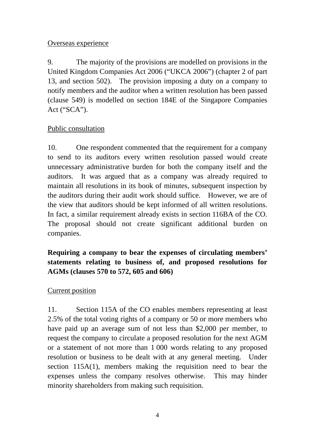### Overseas experience

9. The majority of the provisions are modelled on provisions in the United Kingdom Companies Act 2006 ("UKCA 2006") (chapter 2 of part 13, and section 502). The provision imposing a duty on a company to notify members and the auditor when a written resolution has been passed (clause 549) is modelled on section 184E of the Singapore Companies Act ("SCA").

## Public consultation

10. One respondent commented that the requirement for a company to send to its auditors every written resolution passed would create unnecessary administrative burden for both the company itself and the auditors. It was argued that as a company was already required to maintain all resolutions in its book of minutes, subsequent inspection by the auditors during their audit work should suffice. However, we are of the view that auditors should be kept informed of all written resolutions. In fact, a similar requirement already exists in section 116BA of the CO. The proposal should not create significant additional burden on companies.

# **Requiring a company to bear the expenses of circulating members' statements relating to business of, and proposed resolutions for AGMs (clauses 570 to 572, 605 and 606)**

## Current position

11. Section 115A of the CO enables members representing at least 2.5% of the total voting rights of a company or 50 or more members who have paid up an average sum of not less than \$2,000 per member, to request the company to circulate a proposed resolution for the next AGM or a statement of not more than 1 000 words relating to any proposed resolution or business to be dealt with at any general meeting. Under section 115A(1), members making the requisition need to bear the expenses unless the company resolves otherwise. This may hinder minority shareholders from making such requisition.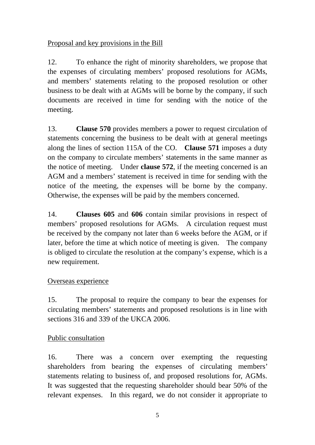## Proposal and key provisions in the Bill

12. To enhance the right of minority shareholders, we propose that the expenses of circulating members' proposed resolutions for AGMs, and members' statements relating to the proposed resolution or other business to be dealt with at AGMs will be borne by the company, if such documents are received in time for sending with the notice of the meeting.

13. **Clause 570** provides members a power to request circulation of statements concerning the business to be dealt with at general meetings along the lines of section 115A of the CO. **Clause 571** imposes a duty on the company to circulate members' statements in the same manner as the notice of meeting. Under **clause 572**, if the meeting concerned is an AGM and a members' statement is received in time for sending with the notice of the meeting, the expenses will be borne by the company. Otherwise, the expenses will be paid by the members concerned.

14. **Clauses 605** and **606** contain similar provisions in respect of members' proposed resolutions for AGMs. A circulation request must be received by the company not later than 6 weeks before the AGM, or if later, before the time at which notice of meeting is given. The company is obliged to circulate the resolution at the company's expense, which is a new requirement.

### Overseas experience

15. The proposal to require the company to bear the expenses for circulating members' statements and proposed resolutions is in line with sections 316 and 339 of the UKCA 2006.

### Public consultation

16. There was a concern over exempting the requesting shareholders from bearing the expenses of circulating members' statements relating to business of, and proposed resolutions for, AGMs. It was suggested that the requesting shareholder should bear 50% of the relevant expenses. In this regard, we do not consider it appropriate to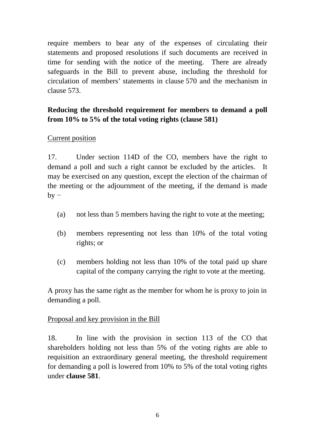require members to bear any of the expenses of circulating their statements and proposed resolutions if such documents are received in time for sending with the notice of the meeting. There are already safeguards in the Bill to prevent abuse, including the threshold for circulation of members' statements in clause 570 and the mechanism in clause 573.

## **Reducing the threshold requirement for members to demand a poll from 10% to 5% of the total voting rights (clause 581)**

### Current position

17. Under section 114D of the CO, members have the right to demand a poll and such a right cannot be excluded by the articles. It may be exercised on any question, except the election of the chairman of the meeting or the adjournment of the meeting, if the demand is made  $by -$ 

- (a) not less than 5 members having the right to vote at the meeting;
- (b) members representing not less than 10% of the total voting rights; or
- (c) members holding not less than 10% of the total paid up share capital of the company carrying the right to vote at the meeting.

A proxy has the same right as the member for whom he is proxy to join in demanding a poll.

### Proposal and key provision in the Bill

18. In line with the provision in section 113 of the CO that shareholders holding not less than 5% of the voting rights are able to requisition an extraordinary general meeting, the threshold requirement for demanding a poll is lowered from 10% to 5% of the total voting rights under **clause 581**.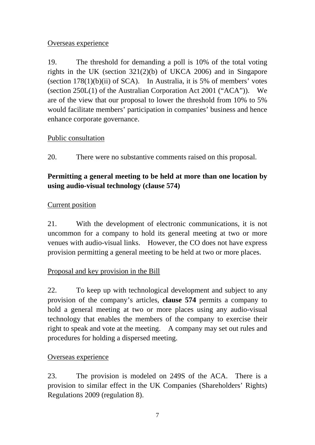### Overseas experience

19. The threshold for demanding a poll is 10% of the total voting rights in the UK (section 321(2)(b) of UKCA 2006) and in Singapore (section  $178(1)(b)(ii)$  of SCA). In Australia, it is 5% of members' votes (section 250L(1) of the Australian Corporation Act 2001 ("ACA")). We are of the view that our proposal to lower the threshold from 10% to 5% would facilitate members' participation in companies' business and hence enhance corporate governance.

## Public consultation

20. There were no substantive comments raised on this proposal.

# **Permitting a general meeting to be held at more than one location by using audio-visual technology (clause 574)**

## Current position

21. With the development of electronic communications, it is not uncommon for a company to hold its general meeting at two or more venues with audio-visual links. However, the CO does not have express provision permitting a general meeting to be held at two or more places.

## Proposal and key provision in the Bill

22. To keep up with technological development and subject to any provision of the company's articles, **clause 574** permits a company to hold a general meeting at two or more places using any audio-visual technology that enables the members of the company to exercise their right to speak and vote at the meeting. A company may set out rules and procedures for holding a dispersed meeting.

## Overseas experience

23. The provision is modeled on 249S of the ACA. There is a provision to similar effect in the UK Companies (Shareholders' Rights) Regulations 2009 (regulation 8).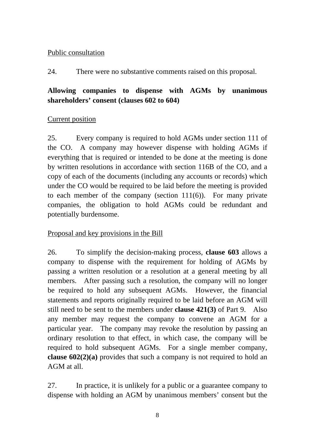### Public consultation

24. There were no substantive comments raised on this proposal.

# **Allowing companies to dispense with AGMs by unanimous shareholders' consent (clauses 602 to 604)**

## Current position

25. Every company is required to hold AGMs under section 111 of the CO. A company may however dispense with holding AGMs if everything that is required or intended to be done at the meeting is done by written resolutions in accordance with section 116B of the CO, and a copy of each of the documents (including any accounts or records) which under the CO would be required to be laid before the meeting is provided to each member of the company (section  $111(6)$ ). For many private companies, the obligation to hold AGMs could be redundant and potentially burdensome.

## Proposal and key provisions in the Bill

26. To simplify the decision-making process, **clause 603** allows a company to dispense with the requirement for holding of AGMs by passing a written resolution or a resolution at a general meeting by all members. After passing such a resolution, the company will no longer be required to hold any subsequent AGMs. However, the financial statements and reports originally required to be laid before an AGM will still need to be sent to the members under **clause 421(3)** of Part 9. Also any member may request the company to convene an AGM for a particular year. The company may revoke the resolution by passing an ordinary resolution to that effect, in which case, the company will be required to hold subsequent AGMs. For a single member company, **clause 602(2)(a)** provides that such a company is not required to hold an AGM at all.

27. In practice, it is unlikely for a public or a guarantee company to dispense with holding an AGM by unanimous members' consent but the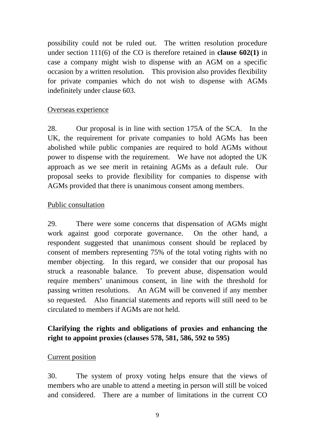possibility could not be ruled out. The written resolution procedure under section 111(6) of the CO is therefore retained in **clause 602(1)** in case a company might wish to dispense with an AGM on a specific occasion by a written resolution. This provision also provides flexibility for private companies which do not wish to dispense with AGMs indefinitely under clause 603.

#### Overseas experience

28. Our proposal is in line with section 175A of the SCA. In the UK, the requirement for private companies to hold AGMs has been abolished while public companies are required to hold AGMs without power to dispense with the requirement. We have not adopted the UK approach as we see merit in retaining AGMs as a default rule. Our proposal seeks to provide flexibility for companies to dispense with AGMs provided that there is unanimous consent among members.

#### Public consultation

29. There were some concerns that dispensation of AGMs might work against good corporate governance. On the other hand, a respondent suggested that unanimous consent should be replaced by consent of members representing 75% of the total voting rights with no member objecting. In this regard, we consider that our proposal has struck a reasonable balance. To prevent abuse, dispensation would require members' unanimous consent, in line with the threshold for passing written resolutions. An AGM will be convened if any member so requested. Also financial statements and reports will still need to be circulated to members if AGMs are not held.

## **Clarifying the rights and obligations of proxies and enhancing the right to appoint proxies (clauses 578, 581, 586, 592 to 595)**

#### Current position

30. The system of proxy voting helps ensure that the views of members who are unable to attend a meeting in person will still be voiced and considered. There are a number of limitations in the current CO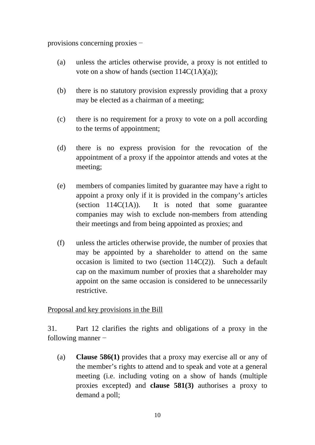provisions concerning proxies −

- (a) unless the articles otherwise provide, a proxy is not entitled to vote on a show of hands (section  $114C(1A)(a)$ );
- (b) there is no statutory provision expressly providing that a proxy may be elected as a chairman of a meeting;
- (c) there is no requirement for a proxy to vote on a poll according to the terms of appointment;
- (d) there is no express provision for the revocation of the appointment of a proxy if the appointor attends and votes at the meeting;
- (e) members of companies limited by guarantee may have a right to appoint a proxy only if it is provided in the company's articles (section  $114C(1A)$ ). It is noted that some guarantee companies may wish to exclude non-members from attending their meetings and from being appointed as proxies; and
- (f) unless the articles otherwise provide, the number of proxies that may be appointed by a shareholder to attend on the same occasion is limited to two (section  $114C(2)$ ). Such a default cap on the maximum number of proxies that a shareholder may appoint on the same occasion is considered to be unnecessarily restrictive.

### Proposal and key provisions in the Bill

31. Part 12 clarifies the rights and obligations of a proxy in the following manner −

(a) **Clause 586(1)** provides that a proxy may exercise all or any of the member's rights to attend and to speak and vote at a general meeting (i.e. including voting on a show of hands (multiple proxies excepted) and **clause 581(3)** authorises a proxy to demand a poll;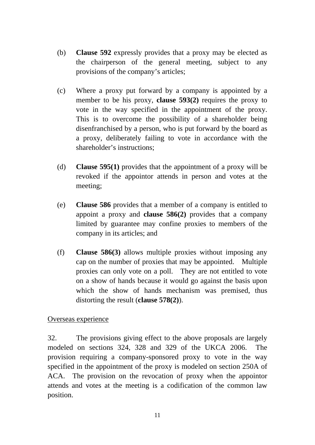- (b) **Clause 592** expressly provides that a proxy may be elected as the chairperson of the general meeting, subject to any provisions of the company's articles;
- (c) Where a proxy put forward by a company is appointed by a member to be his proxy, **clause 593(2)** requires the proxy to vote in the way specified in the appointment of the proxy. This is to overcome the possibility of a shareholder being disenfranchised by a person, who is put forward by the board as a proxy, deliberately failing to vote in accordance with the shareholder's instructions;
- (d) **Clause 595(1)** provides that the appointment of a proxy will be revoked if the appointor attends in person and votes at the meeting;
- (e) **Clause 586** provides that a member of a company is entitled to appoint a proxy and **clause 586(2)** provides that a company limited by guarantee may confine proxies to members of the company in its articles; and
- (f) **Clause 586(3)** allows multiple proxies without imposing any cap on the number of proxies that may be appointed. Multiple proxies can only vote on a poll. They are not entitled to vote on a show of hands because it would go against the basis upon which the show of hands mechanism was premised, thus distorting the result (**clause 578(2)**).

#### Overseas experience

32. The provisions giving effect to the above proposals are largely modeled on sections 324, 328 and 329 of the UKCA 2006. The provision requiring a company-sponsored proxy to vote in the way specified in the appointment of the proxy is modeled on section 250A of ACA. The provision on the revocation of proxy when the appointor attends and votes at the meeting is a codification of the common law position.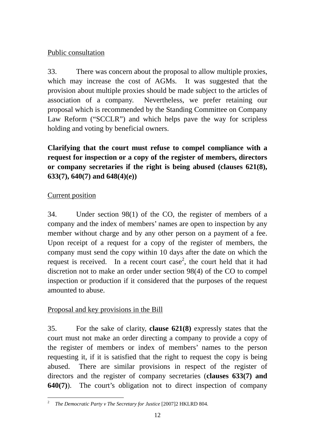## Public consultation

33. There was concern about the proposal to allow multiple proxies, which may increase the cost of AGMs. It was suggested that the provision about multiple proxies should be made subject to the articles of association of a company. Nevertheless, we prefer retaining our proposal which is recommended by the Standing Committee on Company Law Reform ("SCCLR") and which helps pave the way for scripless holding and voting by beneficial owners.

**Clarifying that the court must refuse to compel compliance with a request for inspection or a copy of the register of members, directors or company secretaries if the right is being abused (clauses 621(8), 633(7), 640(7) and 648(4)(e))** 

# Current position

34. Under section 98(1) of the CO, the register of members of a company and the index of members' names are open to inspection by any member without charge and by any other person on a payment of a fee. Upon receipt of a request for a copy of the register of members, the company must send the copy within 10 days after the date on which the request is received. In a recent court case<sup>2</sup>, the court held that it had discretion not to make an order under section 98(4) of the CO to compel inspection or production if it considered that the purposes of the request amounted to abuse.

## Proposal and key provisions in the Bill

35. For the sake of clarity, **clause 621(8)** expressly states that the court must not make an order directing a company to provide a copy of the register of members or index of members' names to the person requesting it, if it is satisfied that the right to request the copy is being abused. There are similar provisions in respect of the register of directors and the register of company secretaries (**clauses 633(7) and 640(7)**). The court's obligation not to direct inspection of company

 2 *The Democratic Party v The Secretary for Justice* [2007]2 HKLRD 804.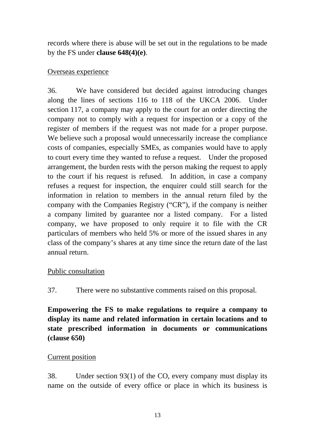records where there is abuse will be set out in the regulations to be made by the FS under **clause 648(4)(e)**.

### Overseas experience

36. We have considered but decided against introducing changes along the lines of sections 116 to 118 of the UKCA 2006. Under section 117, a company may apply to the court for an order directing the company not to comply with a request for inspection or a copy of the register of members if the request was not made for a proper purpose. We believe such a proposal would unnecessarily increase the compliance costs of companies, especially SMEs, as companies would have to apply to court every time they wanted to refuse a request. Under the proposed arrangement, the burden rests with the person making the request to apply to the court if his request is refused. In addition, in case a company refuses a request for inspection, the enquirer could still search for the information in relation to members in the annual return filed by the company with the Companies Registry ("CR"), if the company is neither a company limited by guarantee nor a listed company. For a listed company, we have proposed to only require it to file with the CR particulars of members who held 5% or more of the issued shares in any class of the company's shares at any time since the return date of the last annual return.

## Public consultation

37. There were no substantive comments raised on this proposal.

**Empowering the FS to make regulations to require a company to display its name and related information in certain locations and to state prescribed information in documents or communications (clause 650)** 

### Current position

38. Under section 93(1) of the CO, every company must display its name on the outside of every office or place in which its business is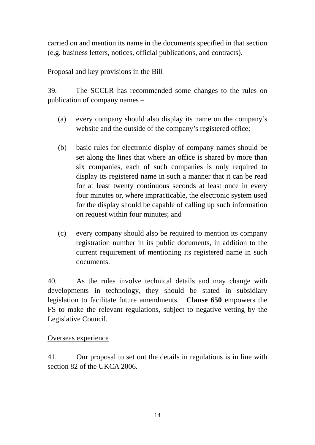carried on and mention its name in the documents specified in that section (e.g. business letters, notices, official publications, and contracts).

## Proposal and key provisions in the Bill

39. The SCCLR has recommended some changes to the rules on publication of company names –

- (a) every company should also display its name on the company's website and the outside of the company's registered office;
- (b) basic rules for electronic display of company names should be set along the lines that where an office is shared by more than six companies, each of such companies is only required to display its registered name in such a manner that it can be read for at least twenty continuous seconds at least once in every four minutes or, where impracticable, the electronic system used for the display should be capable of calling up such information on request within four minutes; and
- (c) every company should also be required to mention its company registration number in its public documents, in addition to the current requirement of mentioning its registered name in such documents.

40. As the rules involve technical details and may change with developments in technology, they should be stated in subsidiary legislation to facilitate future amendments. **Clause 650** empowers the FS to make the relevant regulations, subject to negative vetting by the Legislative Council.

### Overseas experience

41. Our proposal to set out the details in regulations is in line with section 82 of the UKCA 2006.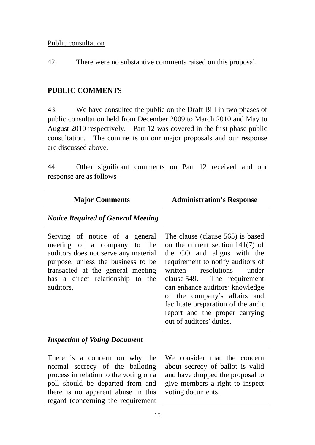## Public consultation

42. There were no substantive comments raised on this proposal.

## **PUBLIC COMMENTS**

43. We have consulted the public on the Draft Bill in two phases of public consultation held from December 2009 to March 2010 and May to August 2010 respectively. Part 12 was covered in the first phase public consultation. The comments on our major proposals and our response are discussed above.

44. Other significant comments on Part 12 received and our response are as follows –

| <b>Major Comments</b>                                                                                                                                                                                                             | <b>Administration's Response</b>                                                                                                                                                                                                                                                                                                                                              |  |  |  |  |  |
|-----------------------------------------------------------------------------------------------------------------------------------------------------------------------------------------------------------------------------------|-------------------------------------------------------------------------------------------------------------------------------------------------------------------------------------------------------------------------------------------------------------------------------------------------------------------------------------------------------------------------------|--|--|--|--|--|
| <b>Notice Required of General Meeting</b>                                                                                                                                                                                         |                                                                                                                                                                                                                                                                                                                                                                               |  |  |  |  |  |
| Serving of notice of a general<br>meeting of a company to the<br>auditors does not serve any material<br>purpose, unless the business to be<br>transacted at the general meeting<br>has a direct relationship to the<br>auditors. | The clause (clause 565) is based<br>on the current section $141(7)$ of<br>the CO and aligns with the<br>requirement to notify auditors of<br>written resolutions under<br>clause 549. The requirement<br>can enhance auditors' knowledge<br>of the company's affairs and<br>facilitate preparation of the audit<br>report and the proper carrying<br>out of auditors' duties. |  |  |  |  |  |
| <b>Inspection of Voting Document</b>                                                                                                                                                                                              |                                                                                                                                                                                                                                                                                                                                                                               |  |  |  |  |  |
| There is a concern on why the<br>normal secrecy of the balloting<br>process in relation to the voting on a<br>poll should be departed from and<br>there is no apparent abuse in this<br>regard (concerning the requirement        | We consider that the concern<br>about secrecy of ballot is valid<br>and have dropped the proposal to<br>give members a right to inspect<br>voting documents.                                                                                                                                                                                                                  |  |  |  |  |  |